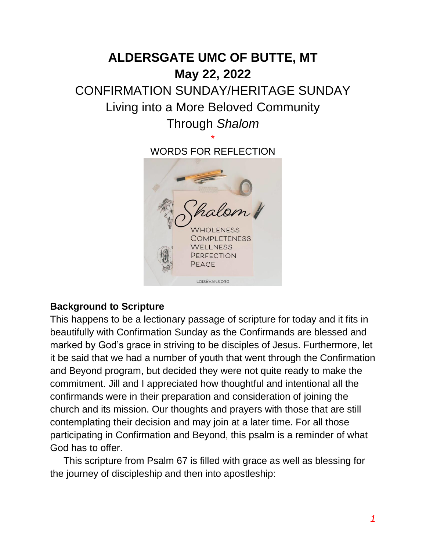# **ALDERSGATE UMC OF BUTTE, MT May 22, 2022** CONFIRMATION SUNDAY/HERITAGE SUNDAY Living into a More Beloved Community Through *Shalom* \*

WORDS FOR REFLECTION



### **Background to Scripture**

This happens to be a lectionary passage of scripture for today and it fits in beautifully with Confirmation Sunday as the Confirmands are blessed and marked by God's grace in striving to be disciples of Jesus. Furthermore, let it be said that we had a number of youth that went through the Confirmation and Beyond program, but decided they were not quite ready to make the commitment. Jill and I appreciated how thoughtful and intentional all the confirmands were in their preparation and consideration of joining the church and its mission. Our thoughts and prayers with those that are still contemplating their decision and may join at a later time. For all those participating in Confirmation and Beyond, this psalm is a reminder of what God has to offer.

 This scripture from Psalm 67 is filled with grace as well as blessing for the journey of discipleship and then into apostleship: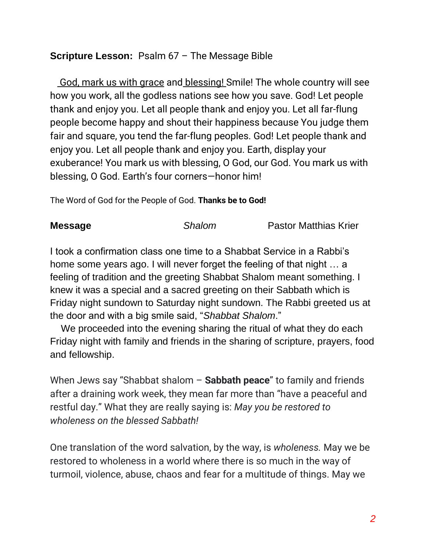## **Scripture Lesson:** Psalm 67 – The Message Bible

 God, mark us with grace and blessing! Smile! The whole country will see how you work, all the godless nations see how you save. God! Let people thank and enjoy you. Let all people thank and enjoy you. Let all far-flung people become happy and shout their happiness because You judge them fair and square, you tend the far-flung peoples. God! Let people thank and enjoy you. Let all people thank and enjoy you. Earth, display your exuberance! You mark us with blessing, O God, our God. You mark us with blessing, O God. Earth's four corners—honor him!

The Word of God for the People of God. **Thanks be to God!** 

**Message** *Shalom* Pastor Matthias Krier

I took a confirmation class one time to a Shabbat Service in a Rabbi's home some years ago. I will never forget the feeling of that night … a feeling of tradition and the greeting Shabbat Shalom meant something. I knew it was a special and a sacred greeting on their Sabbath which is Friday night sundown to Saturday night sundown. The Rabbi greeted us at the door and with a big smile said, "*Shabbat Shalom*."

 We proceeded into the evening sharing the ritual of what they do each Friday night with family and friends in the sharing of scripture, prayers, food and fellowship.

When Jews say "Shabbat shalom – **Sabbath peace**" to family and friends after a draining work week, they mean far more than "have a peaceful and restful day." What they are really saying is: *May you be restored to wholeness on the blessed Sabbath!*

One translation of the word salvation, by the way, is *wholeness.* May we be restored to wholeness in a world where there is so much in the way of turmoil, violence, abuse, chaos and fear for a multitude of things. May we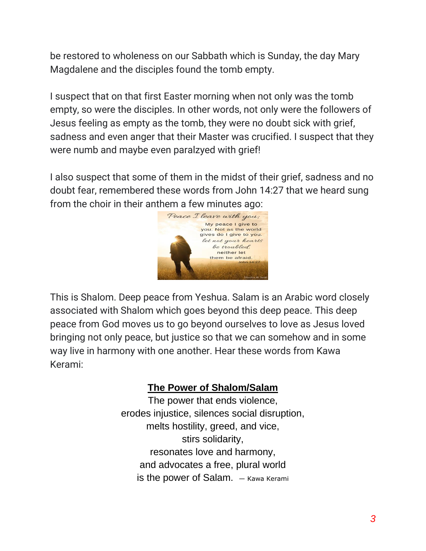be restored to wholeness on our Sabbath which is Sunday, the day Mary Magdalene and the disciples found the tomb empty.

I suspect that on that first Easter morning when not only was the tomb empty, so were the disciples. In other words, not only were the followers of Jesus feeling as empty as the tomb, they were no doubt sick with grief, sadness and even anger that their Master was crucified. I suspect that they were numb and maybe even paralzyed with grief!

I also suspect that some of them in the midst of their grief, sadness and no doubt fear, remembered these words from John 14:27 that we heard sung from the choir in their anthem a few minutes ago:



This is Shalom. Deep peace from Yeshua. Salam is an Arabic word closely associated with Shalom which goes beyond this deep peace. This deep peace from God moves us to go beyond ourselves to love as Jesus loved bringing not only peace, but justice so that we can somehow and in some way live in harmony with one another. Hear these words from Kawa Kerami:

# **The Power of Shalom/Salam**

The power that ends violence, erodes injustice, silences social disruption, melts hostility, greed, and vice, stirs solidarity, resonates love and harmony, and advocates a free, plural world is the power of Salam.  $-$  Kawa Kerami